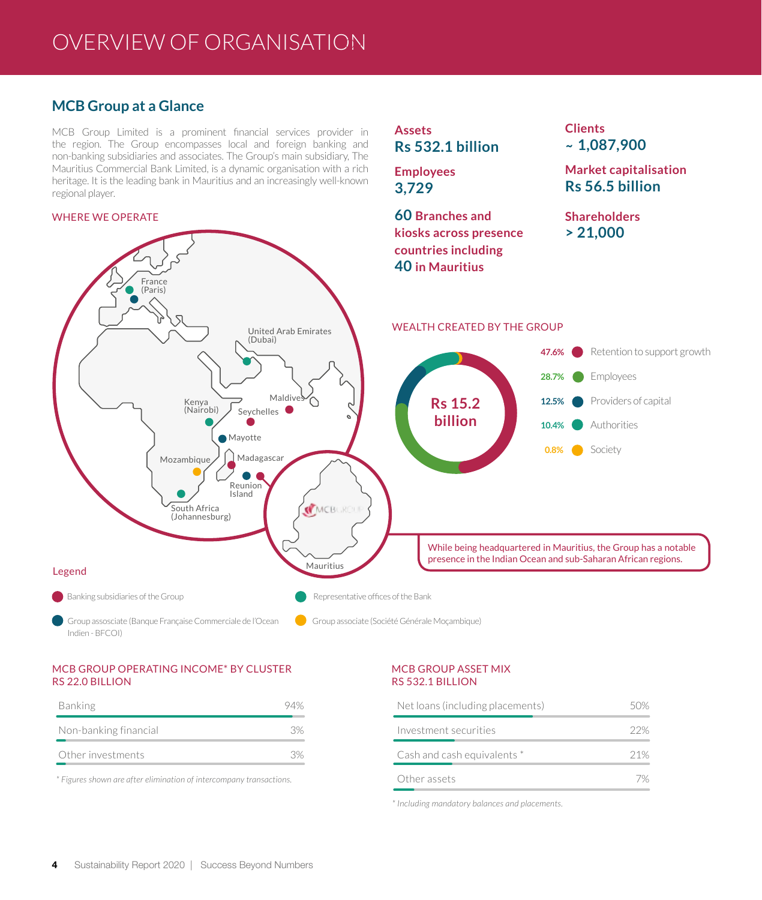#### OVERVIEW OF ORGANISATION OVERVIEW OF ORGANISATION (continued)

## **MCB Group at a Glance**

MCB Group Limited is a prominent financial services provider in the region. The Group encompasses local and foreign banking and non-banking subsidiaries and associates. The Group's main subsidiary, The Mauritius Commercial Bank Limited, is a dynamic organisation with a rich heritage. It is the leading bank in Mauritius and an increasingly well-known regional player.

#### WHERE WE OPERATE



**Assets** 

**Employees 3,729**

**Rs 532.1 billion**

**Clients** 

 **1,087,900**

**Market capitalisation Rs 56.5 billion**

MCB GROUP OPERATING INCOME\* BY CLUSTER RS 22.0 BILLION

Indien - BFCOI)

| <b>Banking</b>        |  |
|-----------------------|--|
| Non-banking financial |  |
| Other investments     |  |

 $*$  Figures shown are after elimination of intercompany transactions.

#### MCB GROUP ASSET MIX RS 532.1 BILLION

| Net loans (including placements) | 50% |
|----------------------------------|-----|
| Investment securities            | クク% |
| Cash and cash equivalents *      | 21% |
| Other assets                     |     |

*\* Including mandatory balances and placements.*